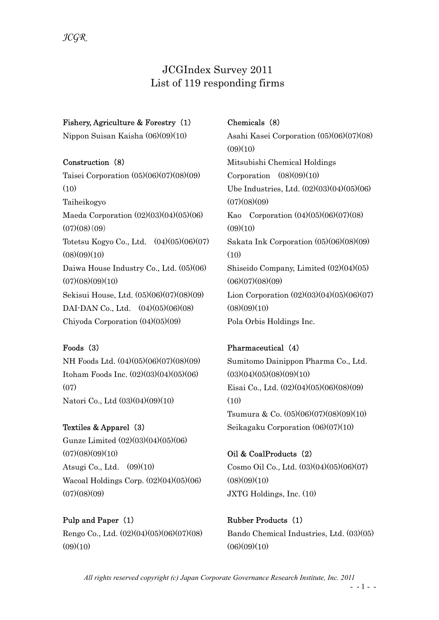# JCGIndex Survey 2011 List of 119 responding firms

### Fishery, Agriculture & Forestry (1)

Nippon Suisan Kaisha (06)(09)(10)

#### Construction (8)

Taisei Corporation (05)(06)(07)(08)(09)  $(10)$ Taiheikogyo Maeda Corporation (02)(03)(04)(05)(06)  $(07)(08)(09)$ Totetsu Kogyo Co., Ltd. (04)(05)(06)(07)  $(08)(09)(10)$ Daiwa House Industry Co., Ltd. (05)(06)  $(07)(08)(09)(10)$ Sekisui House, Ltd. (05)(06)(07)(08)(09) DAI-DAN Co., Ltd.  $(04)(05)(06)(08)$ Chiyoda Corporation (04)(05)(09)

### Foods (3)

NH Foods Ltd. (04)(05)(06)(07)(08)(09) Itoham Foods Inc. (02)(03)(04)(05)(06)  $(07)$ Natori Co., Ltd (03)(04)(09)(10)

Textiles & Apparel (3) Gunze Limited (02)(03)(04)(05)(06)  $(07)(08)(09)(10)$ Atsugi Co., Ltd. (09)(10) Wacoal Holdings Corp. (02)(04)(05)(06)  $(07)(08)(09)$ 

Pulp and Paper (1) Rengo Co., Ltd. (02)(04)(05)(06)(07)(08)  $(09)(10)$ 

## Chemicals (8)

Asahi Kasei Corporation (05)(06)(07)(08)  $(09)(10)$ Mitsubishi Chemical Holdings Corporation  $(08)(09)(10)$ Ube Industries, Ltd. (02)(03)(04)(05)(06)  $(07)(08)(09)$ Kao Corporation (04)(05)(06)(07)(08)  $(09)(10)$ Sakata Ink Corporation (05)(06)(08)(09)  $(10)$ Shiseido Company, Limited (02)(04)(05)  $(06)(07)(08)(09)$ Lion Corporation  $(02)(03)(04)(05)(06)(07)$  $(08)(09)(10)$ Pola Orbis Holdings Inc.

### Pharmaceutical (4)

Sumitomo Dainippon Pharma Co., Ltd.  $(03)(04)(05)(08)(09)(10)$ Eisai Co., Ltd. (02)(04)(05)(06)(08)(09)  $(10)$ Tsumura & Co. (05)(06)(07)(08)(09)(10) Seikagaku Corporation (06)(07)(10)

# Oil & CoalProducts (2) Cosmo Oil Co., Ltd. (03)(04)(05)(06)(07)  $(08)(09)(10)$ JXTG Holdings, Inc. (10)

Rubber Products (1) Bando Chemical Industries, Ltd. (03)(05)  $(06)(09)(10)$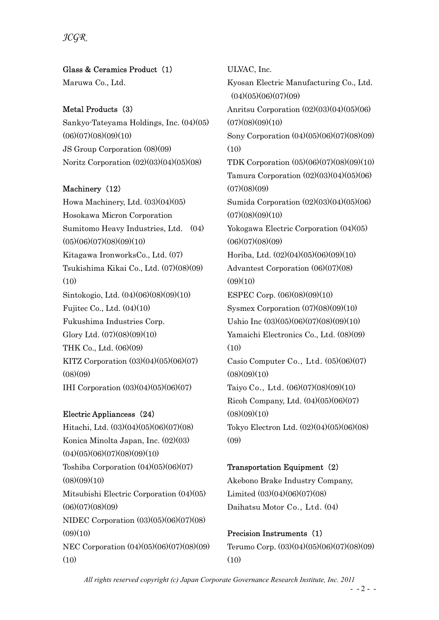JCGR

Glass & Ceramics Product (1) Maruwa Co., Ltd.

### Metal Products (3)

Sankyo-Tateyama Holdings, Inc. (04)(05)  $(06)(07)(08)(09)(10)$ JS Group Corporation (08)(09) Noritz Corporation (02)(03)(04)(05)(08)

### Machinery (12)

Howa Machinery, Ltd. (03)(04)(05) Hosokawa Micron Corporation Sumitomo Heavy Industries, Ltd. (04)  $(05)(06)(07)(08)(09)(10)$ Kitagawa IronworksCo., Ltd. (07) Tsukishima Kikai Co., Ltd. (07)(08)(09)  $(10)$ Sintokogio, Ltd. (04)(06)(08)(09)(10) Fujitec Co., Ltd. (04)(10) Fukushima Industries Corp. Glory Ltd. (07)(08)(09)(10) THK Co., Ltd. (06)(09) KITZ Corporation (03)(04)(05)(06)(07)  $(08)(09)$ IHI Corporation (03)(04)(05)(06)(07)

#### Electric Appliancess (24)

Hitachi, Ltd. (03)(04)(05)(06)(07)(08) Konica Minolta Japan, Inc. (02)(03)  $(04)(05)(06)(07)(08)(09)(10)$ Toshiba Corporation (04)(05)(06)(07)  $(08)(09)(10)$ Mitsubishi Electric Corporation (04)(05)  $(06)(07)(08)(09)$ NIDEC Corporation (03)(05)(06)(07)(08)  $(09)(10)$ NEC Corporation (04)(05)(06)(07)(08)(09) (10)

ULVAC, Inc. Kyosan Electric Manufacturing Co., Ltd.  $(04)(05)(06)(07)(09)$ Anritsu Corporation (02)(03)(04)(05)(06)  $(07)(08)(09)(10)$ Sony Corporation (04)(05)(06)(07)(08)(09)  $(10)$ TDK Corporation (05)(06)(07)(08)(09)(10) Tamura Corporation (02)(03)(04)(05)(06)  $(07)(08)(09)$ Sumida Corporation (02)(03)(04)(05)(06)  $(07)(08)(09)(10)$ Yokogawa Electric Corporation (04)(05)  $(06)(07)(08)(09)$ Horiba, Ltd. (02)(04)(05)(06)(09)(10) Advantest Corporation (06)(07)(08)  $(09)(10)$ ESPEC Corp. (06)(08)(09)(10) Sysmex Corporation (07)(08)(09)(10) Ushio Inc (03)(05)(06)(07)(08)(09)(10) Yamaichi Electronics Co., Ltd. (08)(09)  $(10)$ Casio Computer Co., Ltd. (05)(06)(07)  $(08)(09)(10)$ Taiyo Co., Ltd. (06)(07)(08)(09)(10) Ricoh Company, Ltd. (04)(05)(06)(07)  $(08)(09)(10)$ Tokyo Electron Ltd. (02)(04)(05)(06)(08)  $(09)$ 

### Transportation Equipment (2)

Akebono Brake Industry Company, Limited (03)(04)(06)(07)(08) Daihatsu Motor Co., Ltd. (04)

### Precision Instruments (1)

Terumo Corp. (03)(04)(05)(06)(07)(08)(09) (10)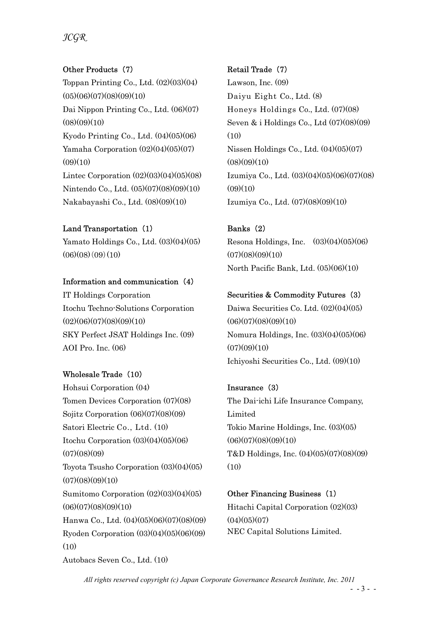# JCGR

### Other Products (7)

Toppan Printing Co., Ltd. (02)(03)(04)  $(05)(06)(07)(08)(09)(10)$ Dai Nippon Printing Co., Ltd. (06)(07)  $(08)(09)(10)$ Kyodo Printing Co., Ltd. (04)(05)(06) Yamaha Corporation  $(02)(04)(05)(07)$  $(09)(10)$ Lintec Corporation  $(02)(03)(04)(05)(08)$ Nintendo Co., Ltd. (05)(07)(08)(09)(10) Nakabayashi Co., Ltd. (08)(09)(10)

#### Land Transportation (1)

Yamato Holdings Co., Ltd. (03)(04)(05)  $(06)(08)(09)(10)$ 

#### Information and communication (4)

IT Holdings Corporation Itochu Techno-Solutions Corporation  $(02)(06)(07)(08)(09)(10)$ SKY Perfect JSAT Holdings Inc. (09) AOI Pro. Inc. (06)

### Wholesale Trade (10)

Hohsui Corporation (04) Tomen Devices Corporation (07)(08) Sojitz Corporation (06)(07)(08)(09) Satori Electric Co., Ltd. (10) Itochu Corporation (03)(04)(05)(06)  $(07)(08)(09)$ Toyota Tsusho Corporation (03)(04)(05)  $(07)(08)(09)(10)$ Sumitomo Corporation (02)(03)(04)(05)  $(06)(07)(08)(09)(10)$ Hanwa Co., Ltd. (04)(05)(06)(07)(08)(09) Ryoden Corporation (03)(04)(05)(06)(09)  $(10)$ Autobacs Seven Co., Ltd. (10)

### Retail Trade (7)

Lawson, Inc. (09) Daiyu Eight Co., Ltd. (8) Honeys Holdings Co., Ltd. (07)(08) Seven & i Holdings Co., Ltd (07)(08)(09)  $(10)$ Nissen Holdings Co., Ltd. (04)(05)(07)  $(08)(09)(10)$ Izumiya Co., Ltd. (03)(04)(05)(06)(07)(08)  $(09)(10)$ Izumiya Co., Ltd. (07)(08)(09)(10)

#### Banks (2)

Resona Holdings, Inc.  $(03)(04)(05)(06)$  $(07)(08)(09)(10)$ North Pacific Bank, Ltd. (05)(06)(10)

### Securities & Commodity Futures (3)

Daiwa Securities Co. Ltd. (02)(04)(05) (06)(07)(08)(09)(10) Nomura Holdings, Inc. (03)(04)(05)(06)  $(07)(09)(10)$ Ichiyoshi Securities Co., Ltd. (09)(10)

### Insurance (3)

The Dai-ichi Life Insurance Company, Limited Tokio Marine Holdings, Inc. (03)(05)  $(06)(07)(08)(09)(10)$ T&D Holdings, Inc. (04)(05)(07)(08)(09) (10)

# Other Financing Business (1) Hitachi Capital Corporation (02)(03)  $(04)(05)(07)$ NEC Capital Solutions Limited.